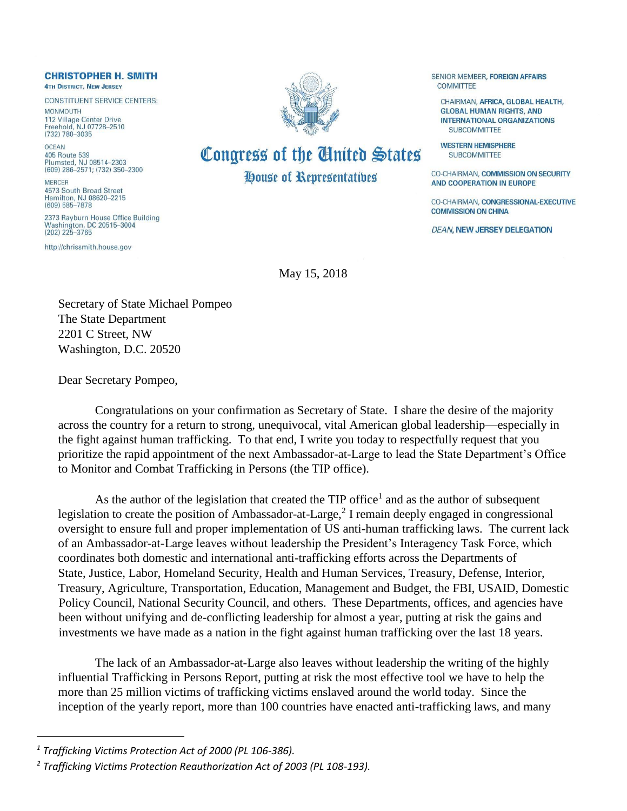## **CHRISTOPHER H. SMITH 4TH DISTRICT, NEW JERSEY**

**CONSTITUENT SERVICE CENTERS: MONMOLITH** 

112 Village Center Drive Freehold, NJ 07728-2510  $(732) 780 - 3035$ 

OCEAN 405 Route 539 Plumsted, NJ 08514-2303 (609) 286-2571; (732) 350-2300

**MERCER** 4573 South Broad Street Hamilton, NJ 08620-2215  $(609) 585 - 7878$ 

2373 Rayburn House Office Building Washington, DC 20515-3004  $(202)$  225-3765

http://chrissmith.house.gov



## Congress of the United States House of Representatives

## SENIOR MEMBER, FOREIGN AFFAIRS **COMMITTEE**

CHAIRMAN, AFRICA, GLOBAL HEALTH. **GLOBAL HUMAN RIGHTS, AND INTERNATIONAL ORGANIZATIONS SUBCOMMITTEE** 

**WESTERN HEMISPHERE SUBCOMMITTEE** 

**CO-CHAIRMAN, COMMISSION ON SECURITY** AND COOPERATION IN EUROPE

CO-CHAIRMAN, CONGRESSIONAL-EXECUTIVE **COMMISSION ON CHINA** 

**DEAN, NEW JERSEY DELEGATION** 

May 15, 2018

Secretary of State Michael Pompeo The State Department 2201 C Street, NW Washington, D.C. 20520

Dear Secretary Pompeo,

Congratulations on your confirmation as Secretary of State. I share the desire of the majority across the country for a return to strong, unequivocal, vital American global leadership—especially in the fight against human trafficking. To that end, I write you today to respectfully request that you prioritize the rapid appointment of the next Ambassador-at-Large to lead the State Department's Office to Monitor and Combat Trafficking in Persons (the TIP office).

As the author of the legislation that created the  $TIP$  office<sup>1</sup> and as the author of subsequent legislation to create the position of Ambassador-at-Large,<sup>2</sup> I remain deeply engaged in congressional oversight to ensure full and proper implementation of US anti-human trafficking laws. The current lack of an Ambassador-at-Large leaves without leadership the President's Interagency Task Force, which coordinates both domestic and international anti-trafficking efforts across the Departments of State, Justice, Labor, Homeland Security, Health and Human Services, Treasury, Defense, Interior, Treasury, Agriculture, Transportation, Education, Management and Budget, the FBI, USAID, Domestic Policy Council, National Security Council, and others. These Departments, offices, and agencies have been without unifying and de-conflicting leadership for almost a year, putting at risk the gains and investments we have made as a nation in the fight against human trafficking over the last 18 years.

The lack of an Ambassador-at-Large also leaves without leadership the writing of the highly influential Trafficking in Persons Report, putting at risk the most effective tool we have to help the more than 25 million victims of trafficking victims enslaved around the world today. Since the inception of the yearly report, more than 100 countries have enacted anti-trafficking laws, and many

 $\overline{a}$ 

*<sup>1</sup> Trafficking Victims Protection Act of 2000 (PL 106-386).*

*<sup>2</sup> Trafficking Victims Protection Reauthorization Act of 2003 (PL 108-193).*